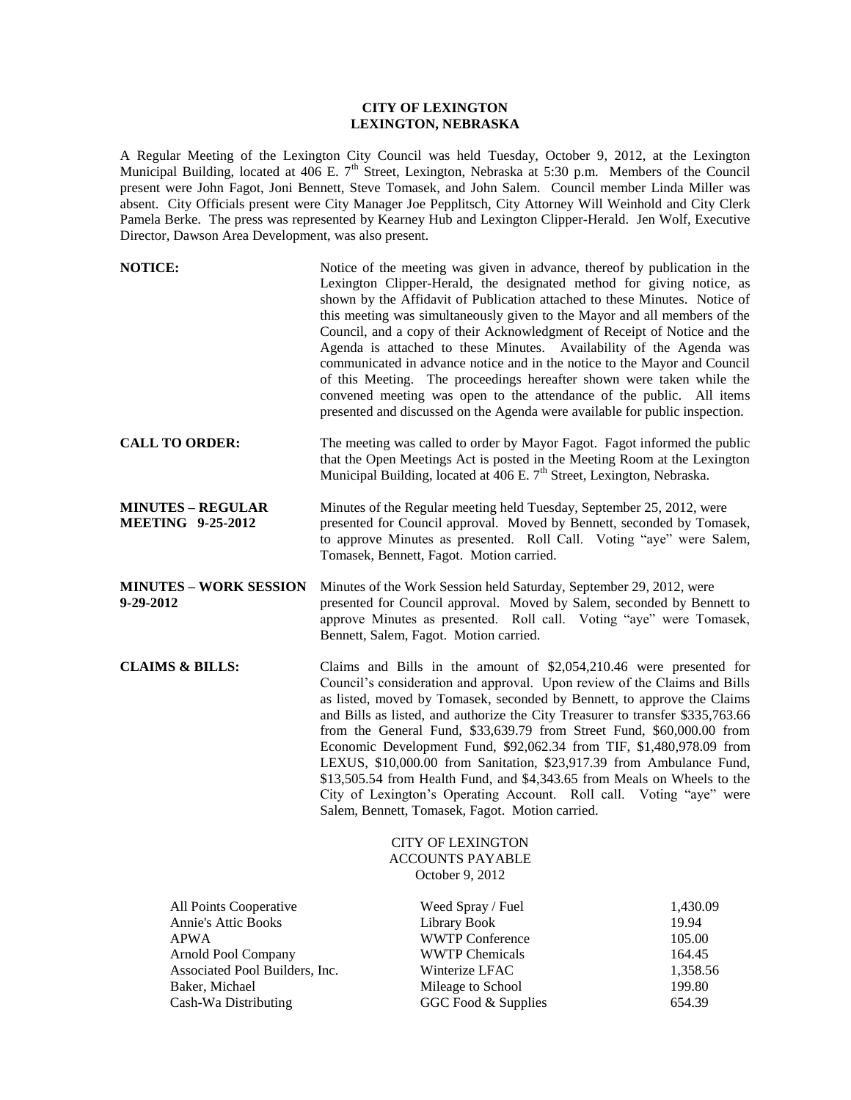## **CITY OF LEXINGTON LEXINGTON, NEBRASKA**

A Regular Meeting of the Lexington City Council was held Tuesday, October 9, 2012, at the Lexington Municipal Building, located at  $406$  E.  $7<sup>th</sup>$  Street, Lexington, Nebraska at 5:30 p.m. Members of the Council present were John Fagot, Joni Bennett, Steve Tomasek, and John Salem. Council member Linda Miller was absent. City Officials present were City Manager Joe Pepplitsch, City Attorney Will Weinhold and City Clerk Pamela Berke. The press was represented by Kearney Hub and Lexington Clipper-Herald. Jen Wolf, Executive Director, Dawson Area Development, was also present.

| <b>NOTICE:</b>                                                                                                                                 | Notice of the meeting was given in advance, thereof by publication in the<br>Lexington Clipper-Herald, the designated method for giving notice, as<br>shown by the Affidavit of Publication attached to these Minutes. Notice of<br>this meeting was simultaneously given to the Mayor and all members of the<br>Council, and a copy of their Acknowledgment of Receipt of Notice and the<br>Agenda is attached to these Minutes. Availability of the Agenda was<br>communicated in advance notice and in the notice to the Mayor and Council<br>of this Meeting. The proceedings hereafter shown were taken while the<br>convened meeting was open to the attendance of the public. All items<br>presented and discussed on the Agenda were available for public inspection. |                                                             |
|------------------------------------------------------------------------------------------------------------------------------------------------|-------------------------------------------------------------------------------------------------------------------------------------------------------------------------------------------------------------------------------------------------------------------------------------------------------------------------------------------------------------------------------------------------------------------------------------------------------------------------------------------------------------------------------------------------------------------------------------------------------------------------------------------------------------------------------------------------------------------------------------------------------------------------------|-------------------------------------------------------------|
| <b>CALL TO ORDER:</b>                                                                                                                          | The meeting was called to order by Mayor Fagot. Fagot informed the public<br>that the Open Meetings Act is posted in the Meeting Room at the Lexington<br>Municipal Building, located at 406 E. 7 <sup>th</sup> Street, Lexington, Nebraska.                                                                                                                                                                                                                                                                                                                                                                                                                                                                                                                                  |                                                             |
| <b>MINUTES – REGULAR</b><br><b>MEETING 9-25-2012</b>                                                                                           | Minutes of the Regular meeting held Tuesday, September 25, 2012, were<br>presented for Council approval. Moved by Bennett, seconded by Tomasek,<br>to approve Minutes as presented. Roll Call. Voting "aye" were Salem,<br>Tomasek, Bennett, Fagot. Motion carried.                                                                                                                                                                                                                                                                                                                                                                                                                                                                                                           |                                                             |
| <b>MINUTES - WORK SESSION</b><br>9-29-2012                                                                                                     | Minutes of the Work Session held Saturday, September 29, 2012, were<br>presented for Council approval. Moved by Salem, seconded by Bennett to<br>approve Minutes as presented. Roll call. Voting "aye" were Tomasek,<br>Bennett, Salem, Fagot. Motion carried.                                                                                                                                                                                                                                                                                                                                                                                                                                                                                                                |                                                             |
| <b>CLAIMS &amp; BILLS:</b>                                                                                                                     | Claims and Bills in the amount of \$2,054,210.46 were presented for<br>Council's consideration and approval. Upon review of the Claims and Bills<br>as listed, moved by Tomasek, seconded by Bennett, to approve the Claims<br>and Bills as listed, and authorize the City Treasurer to transfer \$335,763.66<br>from the General Fund, \$33,639.79 from Street Fund, \$60,000.00 from<br>Economic Development Fund, \$92,062.34 from TIF, \$1,480,978.09 from<br>LEXUS, \$10,000.00 from Sanitation, \$23,917.39 from Ambulance Fund,<br>\$13,505.54 from Health Fund, and \$4,343.65 from Meals on Wheels to the<br>City of Lexington's Operating Account. Roll call. Voting "aye" were<br>Salem, Bennett, Tomasek, Fagot. Motion carried.                                  |                                                             |
|                                                                                                                                                | <b>CITY OF LEXINGTON</b><br><b>ACCOUNTS PAYABLE</b><br>October 9, 2012                                                                                                                                                                                                                                                                                                                                                                                                                                                                                                                                                                                                                                                                                                        |                                                             |
| All Points Cooperative<br><b>Annie's Attic Books</b><br><b>APWA</b><br>Arnold Pool Company<br>Associated Pool Builders, Inc.<br>Baker, Michael | Weed Spray / Fuel<br>Library Book<br><b>WWTP Conference</b><br><b>WWTP Chemicals</b><br>Winterize LFAC<br>Mileage to School                                                                                                                                                                                                                                                                                                                                                                                                                                                                                                                                                                                                                                                   | 1,430.09<br>19.94<br>105.00<br>164.45<br>1,358.56<br>199.80 |

Cash-Wa Distributing GGC Food & Supplies 654.39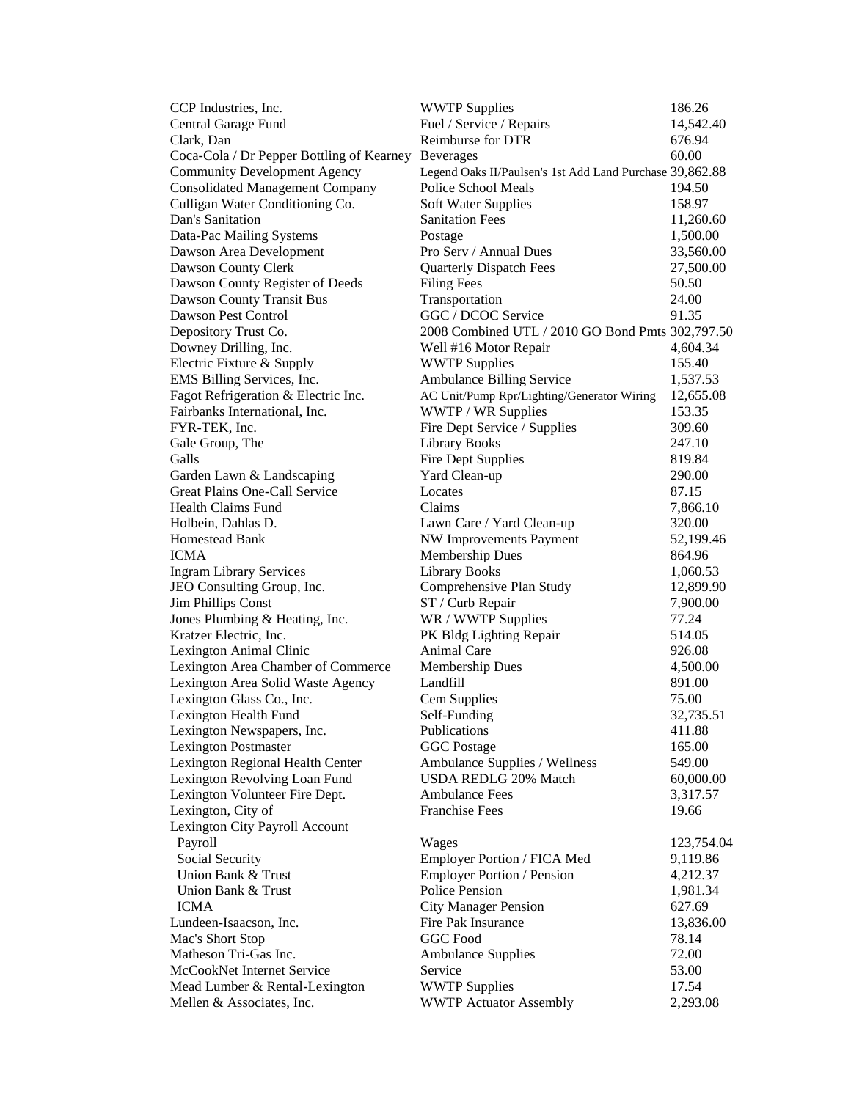| CCP Industries, Inc.                                | <b>WWTP Supplies</b>                                     | 186.26     |
|-----------------------------------------------------|----------------------------------------------------------|------------|
| Central Garage Fund                                 | Fuel / Service / Repairs                                 | 14,542.40  |
| Clark, Dan                                          | Reimburse for DTR                                        | 676.94     |
| Coca-Cola / Dr Pepper Bottling of Kearney Beverages |                                                          | 60.00      |
| <b>Community Development Agency</b>                 | Legend Oaks II/Paulsen's 1st Add Land Purchase 39,862.88 |            |
| <b>Consolidated Management Company</b>              | Police School Meals                                      | 194.50     |
| Culligan Water Conditioning Co.                     | Soft Water Supplies                                      | 158.97     |
| Dan's Sanitation                                    | <b>Sanitation Fees</b>                                   | 11,260.60  |
| Data-Pac Mailing Systems                            | Postage                                                  | 1,500.00   |
| Dawson Area Development                             | Pro Serv / Annual Dues                                   | 33,560.00  |
| Dawson County Clerk                                 | <b>Quarterly Dispatch Fees</b>                           | 27,500.00  |
| Dawson County Register of Deeds                     | <b>Filing Fees</b>                                       | 50.50      |
| Dawson County Transit Bus                           | Transportation                                           | 24.00      |
| Dawson Pest Control                                 | GGC / DCOC Service                                       | 91.35      |
| Depository Trust Co.                                | 2008 Combined UTL / 2010 GO Bond Pmts 302,797.50         |            |
| Downey Drilling, Inc.                               | Well #16 Motor Repair                                    | 4,604.34   |
| Electric Fixture & Supply                           | <b>WWTP Supplies</b>                                     | 155.40     |
| EMS Billing Services, Inc.                          | <b>Ambulance Billing Service</b>                         | 1,537.53   |
| Fagot Refrigeration & Electric Inc.                 | AC Unit/Pump Rpr/Lighting/Generator Wiring               | 12,655.08  |
| Fairbanks International, Inc.                       | WWTP / WR Supplies                                       | 153.35     |
| FYR-TEK, Inc.                                       | Fire Dept Service / Supplies                             | 309.60     |
| Gale Group, The                                     | <b>Library Books</b>                                     | 247.10     |
| Galls                                               | <b>Fire Dept Supplies</b>                                | 819.84     |
| Garden Lawn & Landscaping                           | Yard Clean-up                                            | 290.00     |
| Great Plains One-Call Service                       | Locates                                                  | 87.15      |
| <b>Health Claims Fund</b>                           | Claims                                                   | 7,866.10   |
| Holbein, Dahlas D.                                  | Lawn Care / Yard Clean-up                                | 320.00     |
| Homestead Bank                                      | <b>NW Improvements Payment</b>                           | 52,199.46  |
| <b>ICMA</b>                                         | Membership Dues                                          | 864.96     |
| <b>Ingram Library Services</b>                      | <b>Library Books</b>                                     | 1,060.53   |
| JEO Consulting Group, Inc.                          | Comprehensive Plan Study                                 | 12,899.90  |
| <b>Jim Phillips Const</b>                           | ST / Curb Repair                                         | 7,900.00   |
| Jones Plumbing & Heating, Inc.                      | WR / WWTP Supplies                                       | 77.24      |
| Kratzer Electric, Inc.                              | PK Bldg Lighting Repair                                  | 514.05     |
| Lexington Animal Clinic                             | Animal Care                                              | 926.08     |
| Lexington Area Chamber of Commerce                  | <b>Membership Dues</b>                                   | 4,500.00   |
| Lexington Area Solid Waste Agency                   | Landfill                                                 | 891.00     |
| Lexington Glass Co., Inc.                           | Cem Supplies                                             | 75.00      |
| Lexington Health Fund                               | Self-Funding                                             | 32,735.51  |
| Lexington Newspapers, Inc.                          | Publications                                             | 411.88     |
| <b>Lexington Postmaster</b>                         | <b>GGC</b> Postage                                       | 165.00     |
| Lexington Regional Health Center                    | Ambulance Supplies / Wellness                            | 549.00     |
| Lexington Revolving Loan Fund                       | <b>USDA REDLG 20% Match</b>                              | 60,000.00  |
| Lexington Volunteer Fire Dept.                      | <b>Ambulance Fees</b>                                    | 3,317.57   |
| Lexington, City of                                  | <b>Franchise Fees</b>                                    | 19.66      |
| Lexington City Payroll Account                      |                                                          |            |
| Payroll                                             | Wages                                                    | 123,754.04 |
| Social Security                                     | Employer Portion / FICA Med                              | 9,119.86   |
| Union Bank & Trust                                  | <b>Employer Portion / Pension</b>                        | 4,212.37   |
| Union Bank & Trust                                  | <b>Police Pension</b>                                    | 1,981.34   |
| <b>ICMA</b>                                         | <b>City Manager Pension</b>                              | 627.69     |
| Lundeen-Isaacson, Inc.                              | Fire Pak Insurance                                       | 13,836.00  |
| Mac's Short Stop                                    | <b>GGC</b> Food                                          | 78.14      |
| Matheson Tri-Gas Inc.                               | <b>Ambulance Supplies</b>                                | 72.00      |
| McCookNet Internet Service                          | Service                                                  | 53.00      |
| Mead Lumber & Rental-Lexington                      | <b>WWTP Supplies</b>                                     | 17.54      |
| Mellen & Associates, Inc.                           | <b>WWTP Actuator Assembly</b>                            | 2,293.08   |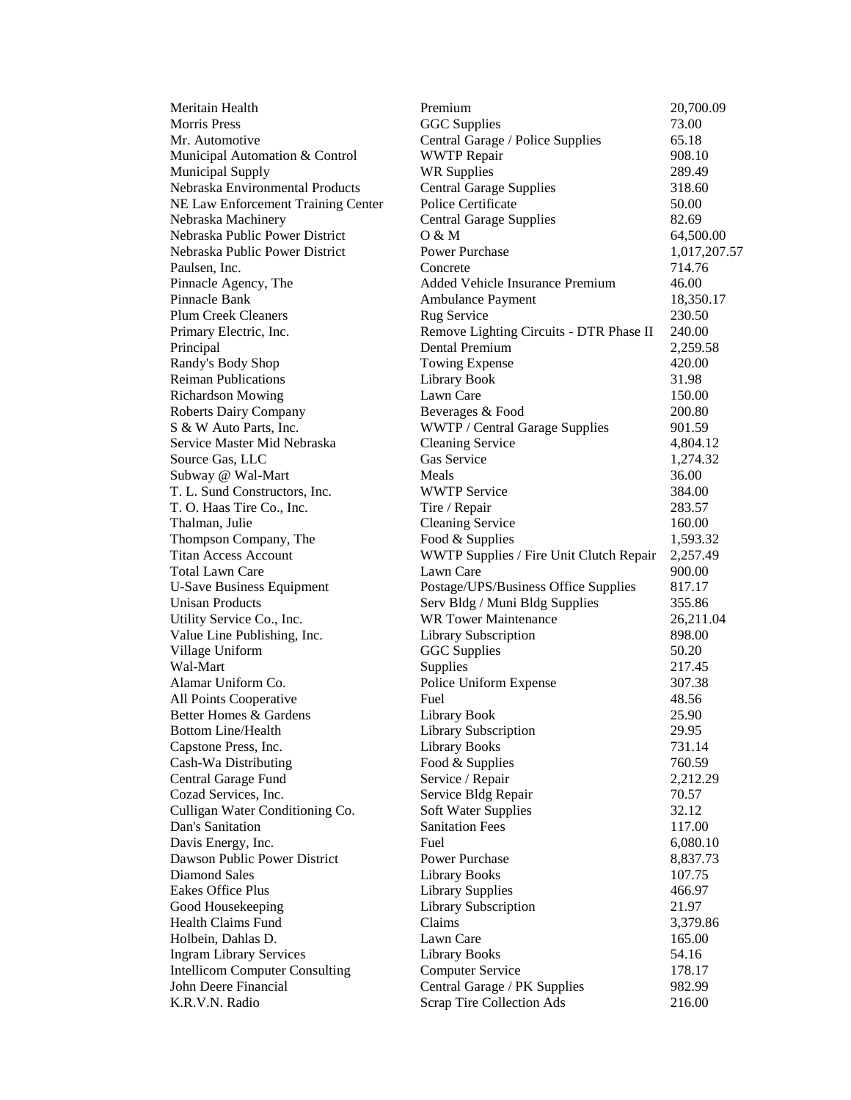| Meritain Health                       | Premium                                 | 20,700.09    |
|---------------------------------------|-----------------------------------------|--------------|
| <b>Morris Press</b>                   | <b>GGC</b> Supplies                     | 73.00        |
| Mr. Automotive                        | Central Garage / Police Supplies        | 65.18        |
| Municipal Automation & Control        | <b>WWTP Repair</b>                      | 908.10       |
| Municipal Supply                      | <b>WR Supplies</b>                      | 289.49       |
| Nebraska Environmental Products       | <b>Central Garage Supplies</b>          | 318.60       |
| NE Law Enforcement Training Center    | Police Certificate                      | 50.00        |
| Nebraska Machinery                    | <b>Central Garage Supplies</b>          | 82.69        |
| Nebraska Public Power District        | O & M                                   | 64,500.00    |
| Nebraska Public Power District        | <b>Power Purchase</b>                   | 1,017,207.57 |
| Paulsen, Inc.                         | Concrete                                | 714.76       |
| Pinnacle Agency, The                  | Added Vehicle Insurance Premium         | 46.00        |
| Pinnacle Bank                         | Ambulance Payment                       | 18,350.17    |
| <b>Plum Creek Cleaners</b>            | Rug Service                             | 230.50       |
| Primary Electric, Inc.                | Remove Lighting Circuits - DTR Phase II | 240.00       |
| Principal                             | Dental Premium                          | 2,259.58     |
| Randy's Body Shop                     | <b>Towing Expense</b>                   | 420.00       |
| <b>Reiman Publications</b>            | Library Book                            | 31.98        |
| <b>Richardson Mowing</b>              | Lawn Care                               | 150.00       |
| <b>Roberts Dairy Company</b>          | Beverages & Food                        | 200.80       |
| S & W Auto Parts, Inc.                | WWTP / Central Garage Supplies          | 901.59       |
| Service Master Mid Nebraska           | <b>Cleaning Service</b>                 | 4,804.12     |
| Source Gas, LLC                       | Gas Service                             | 1,274.32     |
| Subway @ Wal-Mart                     | Meals                                   | 36.00        |
| T. L. Sund Constructors, Inc.         | <b>WWTP Service</b>                     | 384.00       |
| T. O. Haas Tire Co., Inc.             | Tire / Repair                           | 283.57       |
| Thalman, Julie                        | <b>Cleaning Service</b>                 | 160.00       |
| Thompson Company, The                 | Food & Supplies                         | 1,593.32     |
| <b>Titan Access Account</b>           | WWTP Supplies / Fire Unit Clutch Repair | 2,257.49     |
| <b>Total Lawn Care</b>                | Lawn Care                               | 900.00       |
| <b>U-Save Business Equipment</b>      | Postage/UPS/Business Office Supplies    | 817.17       |
| <b>Unisan Products</b>                | Serv Bldg / Muni Bldg Supplies          | 355.86       |
| Utility Service Co., Inc.             | <b>WR Tower Maintenance</b>             | 26,211.04    |
| Value Line Publishing, Inc.           | Library Subscription                    | 898.00       |
| Village Uniform                       | <b>GGC</b> Supplies                     | 50.20        |
| Wal-Mart                              | Supplies                                | 217.45       |
| Alamar Uniform Co.                    | Police Uniform Expense                  | 307.38       |
| All Points Cooperative                | Fuel                                    | 48.56        |
| Better Homes & Gardens                | Library Book                            | 25.90        |
| <b>Bottom Line/Health</b>             | Library Subscription                    | 29.95        |
| Capstone Press, Inc.                  | <b>Library Books</b>                    | 731.14       |
| Cash-Wa Distributing                  | Food & Supplies                         | 760.59       |
| Central Garage Fund                   | Service / Repair                        | 2,212.29     |
| Cozad Services, Inc.                  | Service Bldg Repair                     | 70.57        |
| Culligan Water Conditioning Co.       | Soft Water Supplies                     | 32.12        |
| Dan's Sanitation                      | <b>Sanitation Fees</b>                  | 117.00       |
| Davis Energy, Inc.                    | Fuel                                    | 6,080.10     |
| Dawson Public Power District          | Power Purchase                          | 8,837.73     |
| Diamond Sales                         | <b>Library Books</b>                    | 107.75       |
| Eakes Office Plus                     | <b>Library Supplies</b>                 | 466.97       |
| Good Housekeeping                     | Library Subscription                    | 21.97        |
| <b>Health Claims Fund</b>             | Claims                                  | 3,379.86     |
| Holbein, Dahlas D.                    | Lawn Care                               | 165.00       |
| <b>Ingram Library Services</b>        | <b>Library Books</b>                    | 54.16        |
| <b>Intellicom Computer Consulting</b> | <b>Computer Service</b>                 | 178.17       |
| John Deere Financial                  | Central Garage / PK Supplies            | 982.99       |
| K.R.V.N. Radio                        | Scrap Tire Collection Ads               | 216.00       |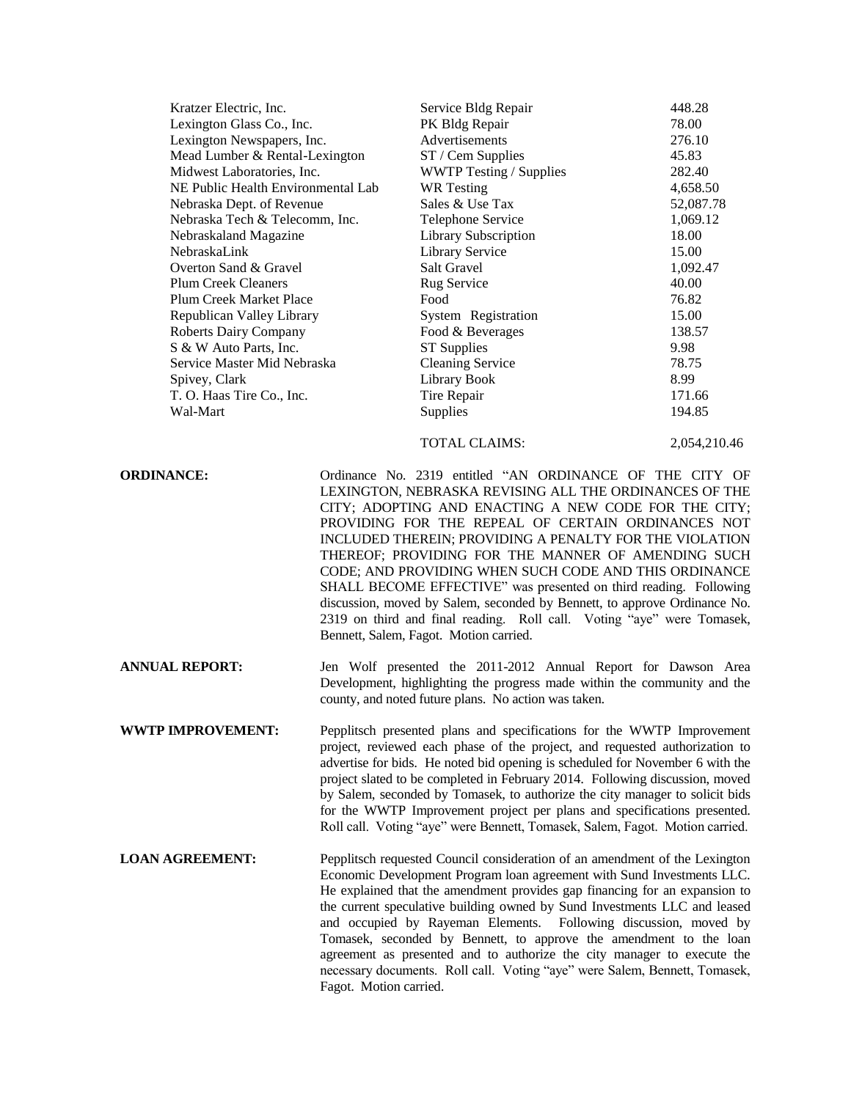| Kratzer Electric, Inc.             |                        | Service Bldg Repair                                                                                                                                                                                                                                                                                                                                                                                                                                                                                                                                                                                                 | 448.28       |
|------------------------------------|------------------------|---------------------------------------------------------------------------------------------------------------------------------------------------------------------------------------------------------------------------------------------------------------------------------------------------------------------------------------------------------------------------------------------------------------------------------------------------------------------------------------------------------------------------------------------------------------------------------------------------------------------|--------------|
| Lexington Glass Co., Inc.          |                        | PK Bldg Repair                                                                                                                                                                                                                                                                                                                                                                                                                                                                                                                                                                                                      | 78.00        |
| Lexington Newspapers, Inc.         |                        | Advertisements                                                                                                                                                                                                                                                                                                                                                                                                                                                                                                                                                                                                      | 276.10       |
| Mead Lumber & Rental-Lexington     |                        | ST / Cem Supplies                                                                                                                                                                                                                                                                                                                                                                                                                                                                                                                                                                                                   | 45.83        |
| Midwest Laboratories, Inc.         |                        | <b>WWTP Testing / Supplies</b>                                                                                                                                                                                                                                                                                                                                                                                                                                                                                                                                                                                      | 282.40       |
| NE Public Health Environmental Lab |                        | <b>WR</b> Testing                                                                                                                                                                                                                                                                                                                                                                                                                                                                                                                                                                                                   | 4,658.50     |
| Nebraska Dept. of Revenue          |                        | Sales & Use Tax                                                                                                                                                                                                                                                                                                                                                                                                                                                                                                                                                                                                     | 52,087.78    |
| Nebraska Tech & Telecomm, Inc.     |                        | Telephone Service                                                                                                                                                                                                                                                                                                                                                                                                                                                                                                                                                                                                   | 1,069.12     |
| Nebraskaland Magazine              |                        | Library Subscription                                                                                                                                                                                                                                                                                                                                                                                                                                                                                                                                                                                                | 18.00        |
| NebraskaLink                       |                        | Library Service                                                                                                                                                                                                                                                                                                                                                                                                                                                                                                                                                                                                     | 15.00        |
| Overton Sand & Gravel              |                        | Salt Gravel                                                                                                                                                                                                                                                                                                                                                                                                                                                                                                                                                                                                         | 1,092.47     |
| <b>Plum Creek Cleaners</b>         |                        | Rug Service                                                                                                                                                                                                                                                                                                                                                                                                                                                                                                                                                                                                         | 40.00        |
| Plum Creek Market Place            |                        | Food                                                                                                                                                                                                                                                                                                                                                                                                                                                                                                                                                                                                                | 76.82        |
| Republican Valley Library          |                        | System Registration                                                                                                                                                                                                                                                                                                                                                                                                                                                                                                                                                                                                 | 15.00        |
| <b>Roberts Dairy Company</b>       |                        | Food & Beverages                                                                                                                                                                                                                                                                                                                                                                                                                                                                                                                                                                                                    | 138.57       |
| S & W Auto Parts, Inc.             |                        | <b>ST Supplies</b>                                                                                                                                                                                                                                                                                                                                                                                                                                                                                                                                                                                                  | 9.98         |
| Service Master Mid Nebraska        |                        | <b>Cleaning Service</b>                                                                                                                                                                                                                                                                                                                                                                                                                                                                                                                                                                                             | 78.75        |
| Spivey, Clark                      |                        | Library Book                                                                                                                                                                                                                                                                                                                                                                                                                                                                                                                                                                                                        | 8.99         |
| T. O. Haas Tire Co., Inc.          |                        | Tire Repair                                                                                                                                                                                                                                                                                                                                                                                                                                                                                                                                                                                                         | 171.66       |
| Wal-Mart                           |                        | Supplies                                                                                                                                                                                                                                                                                                                                                                                                                                                                                                                                                                                                            | 194.85       |
|                                    |                        | <b>TOTAL CLAIMS:</b>                                                                                                                                                                                                                                                                                                                                                                                                                                                                                                                                                                                                | 2,054,210.46 |
|                                    |                        | CITY; ADOPTING AND ENACTING A NEW CODE FOR THE CITY;<br>PROVIDING FOR THE REPEAL OF CERTAIN ORDINANCES NOT<br>INCLUDED THEREIN; PROVIDING A PENALTY FOR THE VIOLATION<br>THEREOF; PROVIDING FOR THE MANNER OF AMENDING SUCH<br>CODE; AND PROVIDING WHEN SUCH CODE AND THIS ORDINANCE<br>SHALL BECOME EFFECTIVE" was presented on third reading. Following<br>discussion, moved by Salem, seconded by Bennett, to approve Ordinance No.<br>2319 on third and final reading. Roll call. Voting "aye" were Tomasek,<br>Bennett, Salem, Fagot. Motion carried.                                                          |              |
| <b>ANNUAL REPORT:</b>              |                        | Jen Wolf presented the 2011-2012 Annual Report for Dawson Area<br>Development, highlighting the progress made within the community and the<br>county, and noted future plans. No action was taken.                                                                                                                                                                                                                                                                                                                                                                                                                  |              |
| <b>WWTP IMPROVEMENT:</b>           |                        | Pepplitsch presented plans and specifications for the WWTP Improvement<br>project, reviewed each phase of the project, and requested authorization to<br>advertise for bids. He noted bid opening is scheduled for November 6 with the<br>project slated to be completed in February 2014. Following discussion, moved<br>by Salem, seconded by Tomasek, to authorize the city manager to solicit bids<br>for the WWTP Improvement project per plans and specifications presented.<br>Roll call. Voting "aye" were Bennett, Tomasek, Salem, Fagot. Motion carried.                                                  |              |
| <b>LOAN AGREEMENT:</b>             | Fagot. Motion carried. | Pepplitsch requested Council consideration of an amendment of the Lexington<br>Economic Development Program loan agreement with Sund Investments LLC.<br>He explained that the amendment provides gap financing for an expansion to<br>the current speculative building owned by Sund Investments LLC and leased<br>and occupied by Rayeman Elements. Following discussion, moved by<br>Tomasek, seconded by Bennett, to approve the amendment to the loan<br>agreement as presented and to authorize the city manager to execute the<br>necessary documents. Roll call. Voting "aye" were Salem, Bennett, Tomasek, |              |